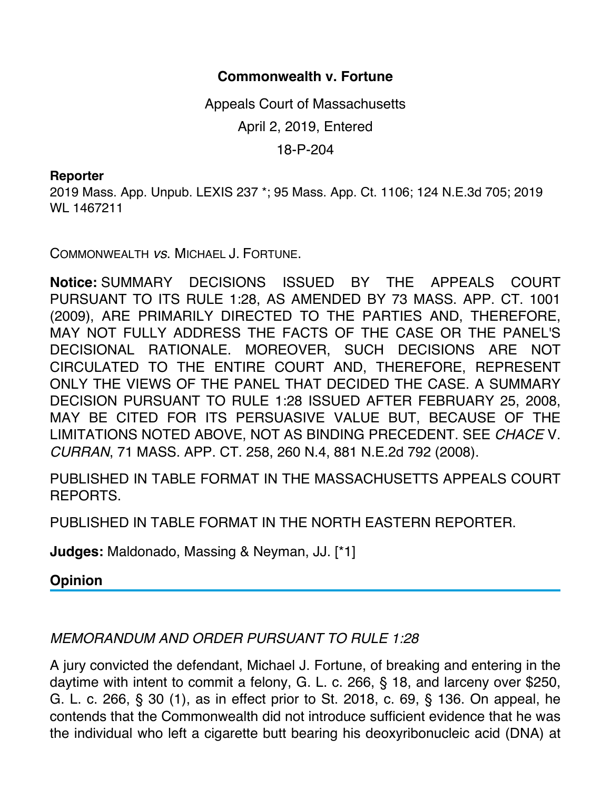## **Commonwealth v. Fortune**

Appeals Court of Massachusetts April 2, 2019, Entered 18-P-204

## **Reporter**

2019 Mass. App. Unpub. LEXIS 237 \*; 95 Mass. App. Ct. 1106; 124 N.E.3d 705; 2019 WL 1467211

COMMONWEALTH *vs*. MICHAEL J. FORTUNE.

**Notice:** SUMMARY DECISIONS ISSUED BY THE APPEALS COURT PURSUANT TO ITS RULE 1:28, AS AMENDED BY 73 MASS. APP. CT. 1001 (2009), ARE PRIMARILY DIRECTED TO THE PARTIES AND, THEREFORE, MAY NOT FULLY ADDRESS THE FACTS OF THE CASE OR THE PANEL'S DECISIONAL RATIONALE. MOREOVER, SUCH DECISIONS ARE NOT CIRCULATED TO THE ENTIRE COURT AND, THEREFORE, REPRESENT ONLY THE VIEWS OF THE PANEL THAT DECIDED THE CASE. A SUMMARY DECISION PURSUANT TO RULE 1:28 ISSUED AFTER FEBRUARY 25, 2008, MAY BE CITED FOR ITS PERSUASIVE VALUE BUT, BECAUSE OF THE LIMITATIONS NOTED ABOVE, NOT AS BINDING PRECEDENT. SEE *CHACE* V. *CURRAN*, 71 MASS. APP. CT. 258, 260 N.4, 881 N.E.2d 792 (2008).

PUBLISHED IN TABLE FORMAT IN THE MASSACHUSETTS APPEALS COURT REPORTS.

PUBLISHED IN TABLE FORMAT IN THE NORTH EASTERN REPORTER.

**Judges:** Maldonado, Massing & Neyman, JJ. [\*1]

**Opinion**

## *MEMORANDUM AND ORDER PURSUANT TO RULE 1:28*

A jury convicted the defendant, Michael J. Fortune, of breaking and entering in the daytime with intent to commit a felony, G. L. c. 266, § 18, and larceny over \$250, G. L. c. 266, § 30 (1), as in effect prior to St. 2018, c. 69, § 136. On appeal, he contends that the Commonwealth did not introduce sufficient evidence that he was the individual who left a cigarette butt bearing his deoxyribonucleic acid (DNA) at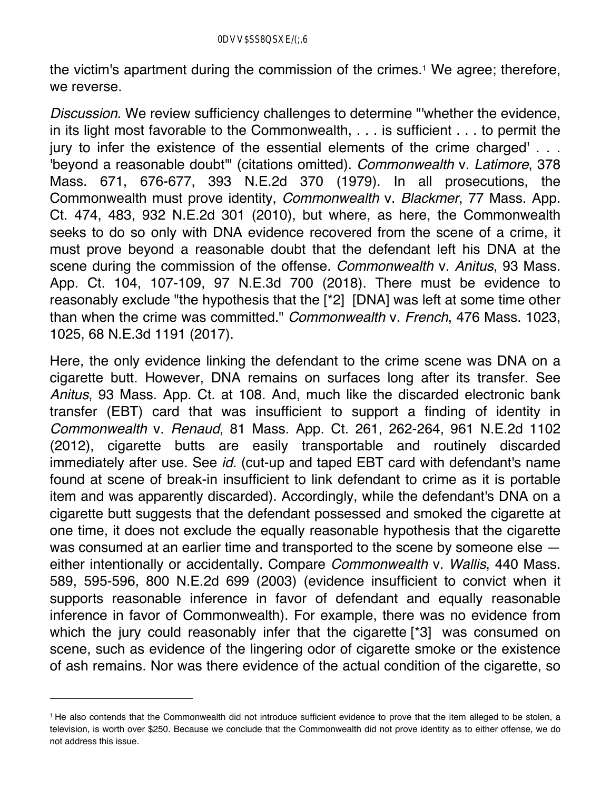the victim's apartment during the commission of the crimes.<sup>1</sup> We agree; therefore, we reverse.

*Discussion*. We review sufficiency challenges to determine "'whether the evidence, in its light most favorable to the Commonwealth, . . . is sufficient . . . to permit the jury to infer the existence of the essential elements of the crime charged' . . . 'beyond a reasonable doubt'" (citations omitted). *Commonwealth* v. *Latimore*, 378 Mass. 671, 676-677, 393 N.E.2d 370 (1979). In all prosecutions, the Commonwealth must prove identity, *Commonwealth* v. *Blackmer*, 77 Mass. App. Ct. 474, 483, 932 N.E.2d 301 (2010), but where, as here, the Commonwealth seeks to do so only with DNA evidence recovered from the scene of a crime, it must prove beyond a reasonable doubt that the defendant left his DNA at the scene during the commission of the offense. *Commonwealth* v. *Anitus*, 93 Mass. App. Ct. 104, 107-109, 97 N.E.3d 700 (2018). There must be evidence to reasonably exclude "the hypothesis that the [\*2] [DNA] was left at some time other than when the crime was committed." *Commonwealth* v. *French*, 476 Mass. 1023, 1025, 68 N.E.3d 1191 (2017).

Here, the only evidence linking the defendant to the crime scene was DNA on a cigarette butt. However, DNA remains on surfaces long after its transfer. See *Anitus*, 93 Mass. App. Ct. at 108. And, much like the discarded electronic bank transfer (EBT) card that was insufficient to support a finding of identity in *Commonwealth* v. *Renaud*, 81 Mass. App. Ct. 261, 262-264, 961 N.E.2d 1102 (2012), cigarette butts are easily transportable and routinely discarded immediately after use. See *id.* (cut-up and taped EBT card with defendant's name found at scene of break-in insufficient to link defendant to crime as it is portable item and was apparently discarded). Accordingly, while the defendant's DNA on a cigarette butt suggests that the defendant possessed and smoked the cigarette at one time, it does not exclude the equally reasonable hypothesis that the cigarette was consumed at an earlier time and transported to the scene by someone else  $$ either intentionally or accidentally. Compare *Commonwealth* v. *Wallis*, 440 Mass. 589, 595-596, 800 N.E.2d 699 (2003) (evidence insufficient to convict when it supports reasonable inference in favor of defendant and equally reasonable inference in favor of Commonwealth). For example, there was no evidence from which the jury could reasonably infer that the cigarette [\*3] was consumed on scene, such as evidence of the lingering odor of cigarette smoke or the existence of ash remains. Nor was there evidence of the actual condition of the cigarette, so

<sup>1</sup> He also contends that the Commonwealth did not introduce sufficient evidence to prove that the item alleged to be stolen, a television, is worth over \$250. Because we conclude that the Commonwealth did not prove identity as to either offense, we do not address this issue.